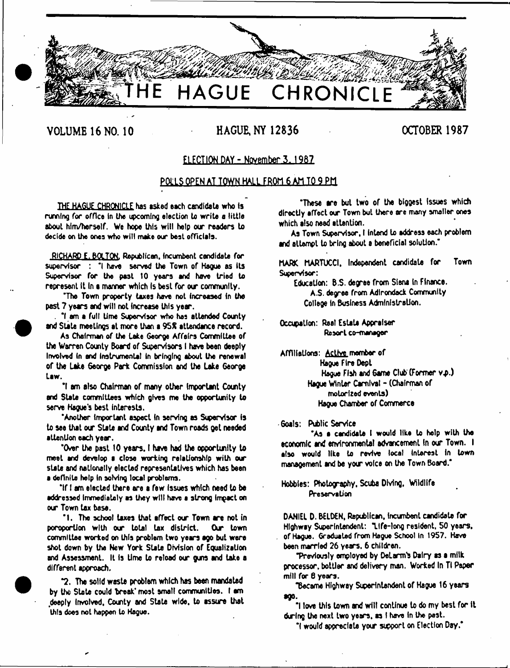

# **VOLUME 16 NO. 10 HAGUE. NY 12836 OCTOBER 1987**

# ELECTION DAY - November 3, 1987

# POLLS OPEN AT TOWN HALL FROM 6 AM TO 9 PM

**THE HAGUE CHRONICLE has asked each candidate who Is** running for office in the upcoming election to write a little **about him /herself. We hope this w ill help our readers to decide on the ones who w ill make our beet officials.**

**RICHARD E. BOLTON. Republican, Incumbent candidate for supervisor : 'I have served the Town of Hague as Its Supervisor for the past 10 years and have tried to represent it In • manner which Is best for our community.**

**'The Town property taxes hove not increased In the past 7 years and will not Increase this year.**

**. \*1 am a full time Supervisor who has attended County and Stale meetings at more than a 95X attendance record.**

**As Chairman of the take George A ffairs Committee of the Warren County Board of Supervisors I have been deeply Involved In and Instrumental In bringing about the renewal of the Late 6eorge Park Commission and the Lake George Law.**

**\*1 am also Chairman of many other Important County and State committees which gives me the opportunity to serve Hogue's best interests.**

**'Another Important aspect In serving as Supervisor is to see that our State and County and Town roads get needed attention each year.**

**'Over the past 10 years. I have had the opporUnity to meet and develop a close working relationship with our stale and nationally elected representatives which has been a definite help In soMng local problems.**

**'If I am elected there are a few Issues which need to be addressed Immediately as they w ill have e strong Impact on our Town tax base.**

**'1 . The school taxes that effect our Town are not in poroporlion with our total tax district. Our town committee worked on this problem two years ago but were shot down by the New York State Division of Equalization and Assessment. It Is time to reload our guns and take a different approach,**

**\*2. The solid waste problem which has bean mandated by the State could break\* most smalt communities. I am deeply involved, County and State wide, to assure that this does not happen to Hague.**

"These are but two of the biggest issues which directly affect our Town but there are many smaller ones **which also need attention.**

**As Town Supervisor, I Intend to address each problem and alterrpt to bring about a beneficial solution.'**

**MARK MARTUCCI, Independent candidate for Town Supervisor:**

**Education: B.S. degree from Siena in Finance. A.S. dep'ee from Adirondack Community College In Business Administration.**

**Occupation: Real Estate Appraiser** Resort co-manager

**Affiliations: Active member of Hague Fire Dept Hague Fish and Game Club (Former v.p.) Hague Winter Carnival - (Chairman of motorized events) Hague Chamber of Commerce**

**Goals: Public Service**

**\*As • candidate I would like to help with the economic and environmental advancement In our Town. I also woutd like to revive local Interest In town management and be your voice on the Town Board."**

**Hobbies: Photography, Scuba DMng, Wildlife** Preservation

**DANIEL D. BELDEN, Republican, tnombenl candidate for Highway Superintendent: "Life-long resident. 50 years, of Hague. Gradueled from Hague School In 1957. Have been married 26 years. 6 children.**

**■previously employed by DeLamfs Dairy as a milk processor, bottler and delivery man. Worked In Ti Paper mill for 6 years.**

Became Highway Superintendent of Hague 16 years **ego.**

**"I love this town and will continue to do my best for it (krlng the next two years, as I have In the past.**

**"I would appreciate yotr support on Election Day."**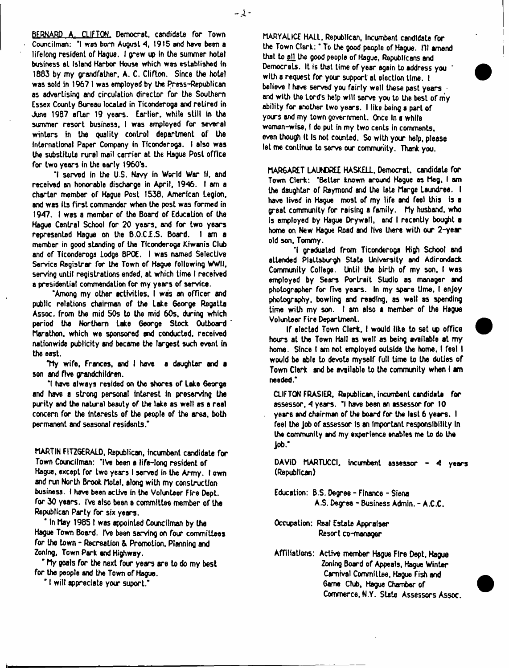**BERNARD A. CLIFTON. Democrat, candidate for Town Councilman: 'I was bom August 4, 1915 and have been a lifelong resident of Hague. I grew up in the summer hotel business el Island Harbor House which was established in 1883 by my grandfather, A. C. Clifton. Since the hotel was sold in 196? I was employed by the Press-Republican as advertising and circulation director for the Southern Essex County 8ureau locaLed in Ticonderoga and retired in June 1987 after 19 years. Earlier, white still in the summer resort business, I was employed for several winters in the quality control department of the International Paper Company in Ticonderoga. I also was the substitute rural mail carrier at the Hague Post office for two years in the early 1960's.**

**'I served in the U.S. Navy in World War II. and** received an honorable discharge in April, 1946. I am a **charter member of Hague Post 1538. American Legion,** and was its first commander when the post was formed in **1947. I was a member of the Board of Education of the Hague Central School for 20 years, and for two years represented Hague on the 8 .0 .C I.S . Board, t am a member in good standing of the Ticonderoga Kiwanis Club and of Ticonderoga Lodge 8P0E. I was named Selective** Service Registrar for the Town of Hague following WWII, **serving until registrations ended, at which time t received a presidential commendation for my years of service.**

**'Among my other activities. I was an officer and public relations chairman of the take George Regatta Assoc, from the mid 50s to the mid 60s. during which period the Northern take George Stock Outboard Marathon, which we sponsored and conducted, received nationwide publicity and became the largest such event in the east.**

**Tty w ife, Frances, and I have a daughter and** a **son and five grandchildren.**

**'I have always resided on the shores of Lake 6eorge and have a strong personal interest in preserving the purity and the natural beauty of the lake as well as a real concern for the interests of the people of the area, both permanent and seasonal residents.\***

**MARTIN FITZGERALD, Republican, incumbent candidate for Town Councilman: 'IVe been** a **life-long resident of** Hague, except for two years I served in the Army. I own **and run North Brook MoLel, along with my construction business. I have been active In the Volunteer Fire Dept, for 30 years. IVe also been a committee member of the Republican Party for six years.**

**\* In May 1 9 8 5 1 was appointed Councilman by the Hague Town Board. IVe been serving on four committees for the town - Recreation & Promotion. Planning and Zoning, Town Park and Highway.**

**\* My goals for the next four years are to do my best for the people and the Town of Hague.**

**\* I w ill appreciate your suport,\***

**MARYALICE HAIL, Republican, Incumbent candidate for the Town C lerk:' To the good people of Hague. HI amend that to fill, the good people of Hague, Republicans and Democrats. It is that time of year again to address you " with a request for your support at election time, t believe I have served you fairly well these past years ■ and with the Lord's help will serve you to the best of my ability for another two years. I like being a part of yw rs and my town government. Once In a while woman-wise, I do put in my two cents in comments, even though It Is not counted. So with your help, please let me continue to serve our community. Thank you.**

**MARGARET LAUtOREI HASKELL. Democrat, candidate for Town Clerk: 'B elter known around Hague as Meg, I am the daughter of Raymond and the late Marge taundree. I have lived in Hague most of my life and feel this is a great community for raising a family. My husband, who fs employed by Hague Drywall, and I recently bought** a **home on New Hague Road and live there with our 2-year old son. Tommy.**

**'I graduated from Ticonderoga High School and attended Plattsburgh State University and Adirondack Community College. Until the birth of my son. I was employed by Sears Portrait Studio as manager and photographer for five years. In my spare time, I enjoy photography, bowling and reading, as well as spending** time with my son. I am also a member of the Hague **Volunteer Fire Department.**

**If elected Town Clerk. I would like to set office hours at the Town Hall as well as being available at my home. Since I am not employed outside the home, t feet I would be able to devote myself full time to the duties of Town Clerk and be available to the community when I** am **needed.\***

**CLIFTON FRASIER, Republican, incumbent candidate for assessor, 4 years. \*1 have been an assessor for 10 years and chairman of the board for the last 6 years. I feel the job of assessor Is an Important responsibility In the community and my experience enables me to do the job.\***

**DAVID MARTUCCI, incumbent assessor - 4 years (Republican)**

**Education: B.S. Degree - Finance - Siena A.S. Degree - Business Admin. - A.C.C.**

**Occupation: Real Estate Appraiser Resort co-manager**

**Affiliations: Active member Hague Fire Dept, Hague Zoning Board of Appeals, Hague Winter Carnival Convnittee, Hague Fish and Same Club, Hague Chamber of Commerce. N.Y. State Assessors Assoc.**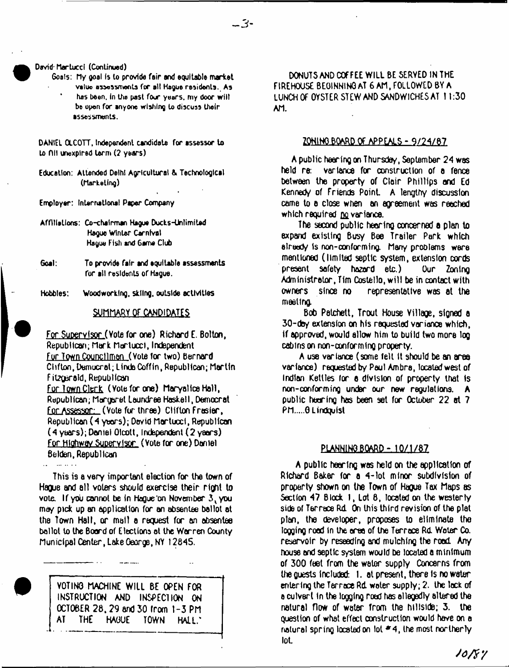**Dovid'MartuccI (Continued)**

**Goats: My goal fs lo provide fair and equitable market value attossmonta for all Hague residents. Aa has been. In the past four years, my door will be open for anyone wishing to discuss their assessments.**

**DANIEL OLCOTT, Independent candidate for assessor to to Oil unexplred term (2 years)**

- **Education: Attended Delhi Agricultural & Technological (Marketing)**
- **Employer: Inter national Paper Company**
- **Affiliations: Co-chairman Hague Ducks-Unlimited Hague Winter Carnival Hague Fish and Game Club**
- **Goal: To provide fair and equitable assessments for all residents of Hague.**
- **Hobbles: Woodworking, skiing, outside activities**

#### SUMMARY QF CANDIDATES

For Supervisor ( Vote for one) Richard E. Bolton, Republican; Mark Morlucci, Independent Fur Town Councilman (Yota tor two) Bernard Clifton, Democrat; Linda Coffin, Republican; Martin Fitzgerald. Republican For town Clerk ( Vote for one) MaryalIce Hall, Republican; Margaret Laundree Haskell, Democrat For Assessor: (Vote fur three) Clifton Frasier, Republican (4 years); David Mortuoct, Republican (4 years); Daniel Olcott, Independent (2 years) Fur Highway Supervisor (Vote for one) Daniel Betden, Republican

This is a very important election for the town of Hague and ell voters should exercise their right to vote. If you cannot be in Hague on November 3, you may pick up an application for an absentee ballot at the Town Hall, or mall a request for an absentee ballot lo the Board of Elections el the Warren County Municipal Center, Lake Oeorge, NY 12845.

in a change and

VOTING MACHINE WILL BE OPEN FOR INSTRUCTION AND INSPECTION ON OCTOBER 28,29 and 30 from 1-3 PM AT THE HAGUE TOWN HALL,'

DONUTS AND COFFEE WILL BE SERYED IN THE FtREHOUSE BEGINNING AT 6 AM, FOLLOWED BY A LUNCH OF OYSTER STEW AND SANDWICHES AT 11:30 AM.

#### ZQH1NQ BOARD OF APPEALS - 9/24/87

A public hearing on Thursday, September 24 was held re: variance for construction of a fence between the property of Clair Phillips and Ed Kenned/ of Friends Point A lengthy discussion came to e close when an agreement was reached which required no variance.

The second public hearing concerned a plan to expand existing Busy Bee Trailer Park which already is non-conforming. Many problems were mentioned (limited septic system, extension cords present safety hazard etc.) Our Zoning Administrator, Tim Costello, w ill be in contact with owners since no representative was at the meeting.

Bob Petchett, Trout House Village, signed a 30-day extension on his requested variance which, if approved, would allow him to build two more log cabins on non-conforming property.

A use variance (some felt It should be an area variance) requested by Paul Am bra, located west of Indian Kettles for a division of property that is non-conforming under our new regulations. A public hearing has been set for October 22 at 7 PM.....G Lindquist

# PLANNING BOARD - 10/1/87

A public hearing was held on the application of Richxd Baker for a 4 -lot minor subdivision of property shown on the Town of Hague Tax Maps as Section 47 Block 1, Lot 8, located on the westerly side of Terrace Rd On this third revision of the plat plan, the developer, proposes to eliminate tho logging rood in the area of the Terrace Rd. Water Co. reservoir by reseeding and mulching the rood Any house and septic system would be located a minimum of 300 feel from the welor supply Concerns from the guests included: I. at present, there Is no water entering the Terrace Rd. water supply; 2. the lack of a culvert in the logging rood has allegedly altered the natural flow of water from the hillside; 3. the question of what effect construction would have on e natural spring located on lot  $*$  4, the most northerly lot.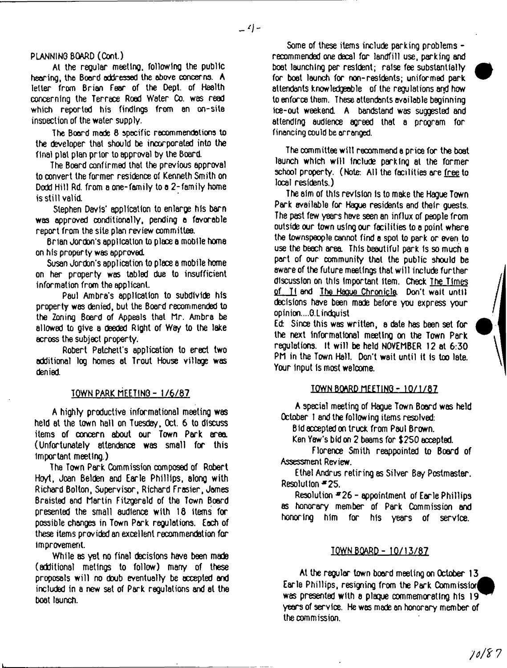# **PLANNING BOARD (Cont.)**

At the regular meeting, following the public hearing, the Board addressed the above concerns. A letter from Brian fear of the Dept, of Health concerning the Terrace Road Water Co. was read which reported his findings from an on-site insoeclion of the water supply.

The Board made **8** specific **recommendations** to the developer that should be incorporated into the final plat plan prior to approval by the Board.

The Board confirmed that the previous approval to convert the former residence of Kenneth Smith on Dodd Hill Rd. from a one-family to a 2 -family home is still valid.

Stephen Davis' application to enlarge his barn was approved conditionally, pending a favorable report from the site plan review committee.

Brian Jordon's application to place a mobile home on his property was approved

Susan Jordon's application to place e mobile home on her property was tabled due to insufficient information from the applicant.

Paul Ambra's application to subdivide his property was denied, but the Board recommended to the Zoning Board of Appeals that Mr. Ambra be allowed to give a deeded Right of Way to the lake across the subject property.

Robert Patchetfs application to erect two additional log homes at Trout House village was denied.

# TOWN PARK MEETING - 1/6/87

A highly productive informational meeting was held at the town hail on Tuesday, Oct. 6 to discuss items of concern about our Town Park area. (Unfortunately attendance was small for this Important meeting.)

The Town Park Commission composed of Robert Hoyt, Joan Belden and Earle Phillips, along with Richard Bolton, Supervisor, Richard Frasier, James Braisled and Martin Fitzgerald of the Town Board presented the small audience with 18 items for possible changes in Town Park regulations. Each of these items provided an excellent recommendation for improvement.

While as yet no final decisions have been made (additional metings to follow) many of these proposals w ill no doub eventually be accepted and included in a new set of Park regulations and at the boat launch.

Some of these items include parking problems recommended one decal for landfill use, parking and boat launching per resident; raise fee substantially for boat launch for non-residents; uniformed park attendants knowledgeable of the regulations and how to enforce them. These attendants available beginning ice-out weekend. A bandstand was suggested and attending audience agreed that a program for financing could be arranged.

The committee will recommend a price for the boat launch which will include parking at the former school property. (Note: All the facilities are free to local residents.)

The aim of this revision Is to make the Hague Town Park available for Hague residents and their guests. The past few years have seen an influx of people from outside our town using our facilities to a point where the townspeople cannot find a spot to park or even to use the beach area. This beautiful park Is so much a part of our community that the public should be aware of the future meetings that will include further discussion on this Important Item. Check The Times of. T1 and The Haoue Chronicle Don't wait until decisions have been made before you express your opinion....G.Lindouist

Ed: Since this was written, a date has been set for the next Informational meeting on the Town Park regulations. It w ill be held NOVEMBER 12 at 6:30 PM in the Town Hall. Don't wait until it Is too late. Your input Is most welcome.

# IQWN BOARD MEETING - 10/1/87

A special meeting of Hague Town Board was held October 1 and the following items resolved:

Bid accepted on truck from Paul Brown.

Ken Yaw's bid on 2 beams for \$250 accepted.

Florence Smith reappointed to Board of Assessment Review.

Ethel Andrus retiring as Silver Bay Postmaster. Resolution \*25.

Resolution  $#26$  - appointment of Earle Phillips as honorary member of Park Commission and honoring him for his years of service.

# TOWN BOARD - 10/13/87

At the regular town board meeting on October 13 Earle Phillips, resigning from the Park Commissior| was presented with a plaque commemorating his 19 years of service. He was made an honorary member of the commission.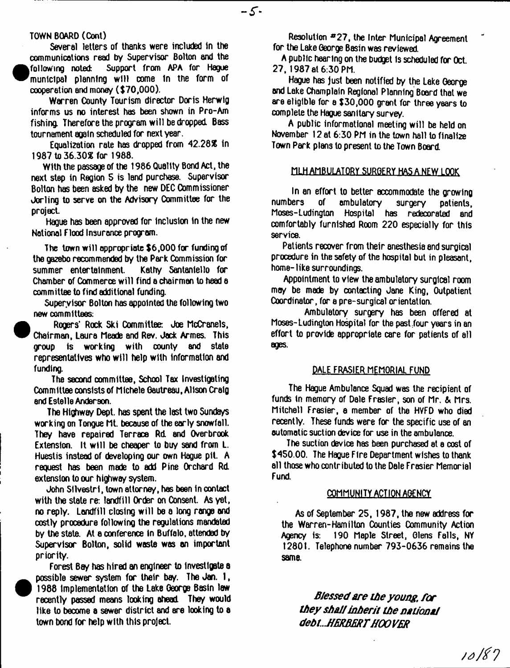#### TOWN BOARD (Cont)

<sup>•</sup>

<sup>•</sup>

Several letters of thanks were included in the communications read by Supervisor Bolton and the following noted: Support from APA for Hague municipal planning w ill come In the form of cooperation and money (\$70,000).

Warren County Tourism director Doris Herwlg informs us no interest has been shown in Pro-Am fishing. Therefore the program will be dropped. Bass tournament again scheduled for next year.

Equalization rate has dropped from 42.28X in 1987 to 36.30X for 1988.

With the passage of the 1986 Quality Bond Act, the next step in Region 5 is land purchase. Supervisor Bolton has been asked by the new DEC Commissioner Jorling to serve on the Advisory Committee for the project

Hague has been approved for Inclusion In the new National Flood Insurance program.

The town will appropriate \$6,000 for funding of the gazebo recommended by the Park Commission for summer entertainment. Kathy Santanlello for Chamber of Commerce w ill find a chairman to head a committee to find additional funding.

Supervisor Bolton has appointed the following two new committees:

 Rogers' Rock Ski Committee: Joe McCranels, Chairman, Laura Meade and Rev. Jock Armes. This group is working with county and state representatives who will help with information and funding.

The second committee, School Tax Investigating Committee consists of Michele Gautreau, Alison Craig and Estelle Anderson.

The Highway Dept, has spent the last two Sundays working on Tongue Mt. because of the early snowfall. They have repaired Terrace Rd. and Overbrook Extension. It will be cheaper to buy sand from L. Huestis instead of developing our own Hague pit. A request has been made to add Pine Orchard Rd extension to our highway system.

John Sllvestrl, town attorney, has been in contact with the state re: landfill Order on Consent. As yet, no reply. Landfill closing w ill be a long range and costly procedure following the regulations mandated by the state. At a conference In Buffalo, attended by Supervisor Bolton, solid waste was an important priority.

Forest Bay has hired an engineer to Investigate a possible sewer system for their bay. The Jan. I , 1988 Implementation of the Lake George Basin law recently passed means looking ahead They would like to beoome a sewer district and sre looking to a town bond for help with this project

Resolution #27, the Inter Municipal Agreement for the Lake George Basin was reviewed.

 $-5$ 

A public hearing on the budget Is scheduled for Oct 27, 1987 at 6:30 PM.

Hague has just been notified by the Lake George and Lake Champlain Regional Planning Boord that we are eligible for a \$30,000 grant for three years to complete the Hague sanitary survey.

A public informational meeting w ill be held on November 12 at 6:30 PM in the town hall to finalize Town Park plans lo present to the Town Board

#### MLH AMBULATORY SURGERY HAS A NEW LOOK

In an effort to better accommodate the growing numbers of ambulatory surgery patients, Moses-Ludington Hospital has redecorated and comfortably furnished Room 220 especially for this service.

Patients recover from their anesthesia and surgical procedure in the safety of the hospital but in pleasant, home-like surroundings.

Appointment to view the ambulatory surgical room may be made by contacting Jane King, Outpatient Coordinator, for a pre-surgical orientation.

Ambulatory surgery has been offered at Moses-Ludington Hospital for the past four years in an effort to provide appropriate care for patients of all ages.

#### DALE FRASIER MEMORIAL FUND

The Hague Ambulance Squad was the recipient of funds in memory of Dale Frasier, son of Mr, & Mrs. Mitchell Frasier, a member of the HVFD who died recently. These funds were for the specific use of an sutomatic suction device for use in the ambulance.

The suction device has been purchased at a cost of \$450.00. The Hague Fire Department wishes to thank all those who contributed to the Dale Frasier Memorial Fund.

#### COMMUNITY ACTION AGENCY

As of September 25, 1987, the new address for the Warren-Hamilton Counties Community Action Agency is: 190 Maple Street, Glens Fells, NY 12801. Telephone number 793-0636 remains the same.

*Blessed are the young, for they shall inherit the nationai debt.HERBERTHOOVER*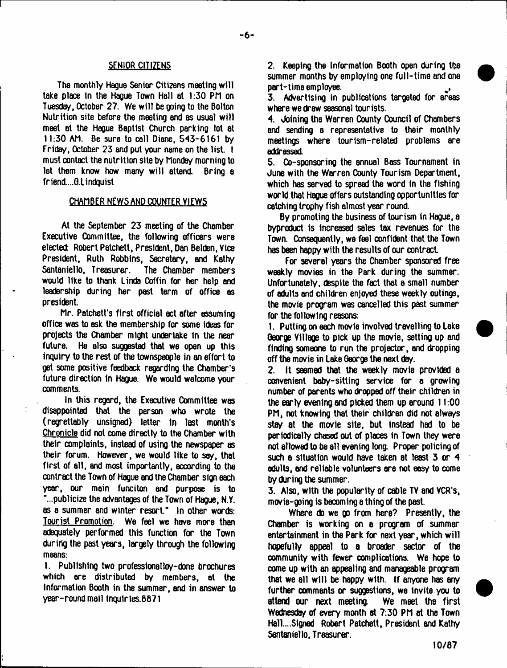## SENIOR CITIZENS

The monthly Hague Senior Citizens meeting will take place in the Hague Town Hall at 1:30 PM on Tuesday, October 27. We w ill be going to the Bolton Nutrition site before the meeting and as usual will meet at the HdQue Baptist Church parking lot at 11:30 AM. Be sure to call Diane, 543-6161 by Friday, October 23 and put your name on the list. I must contact the nutrition site by Monday morning to let them know how many will attend. Bring a friend....G.lindquist

# CHAMBER NEWS AND COUNTER VIEWS

At the September 23 meeting of the Chamber Executive Committee, the following officers were elected Robert Patchett, President, Dan Belden, Vice President, Ruth Robbins, Secretary, and Kathy Sentaniello, Treasurer. The Chamber members would like to thank Linda Coffin for her help and leadership during her past term of office as president

Mr. Patchett's first official act after assuming office was to ask the membership for some ideas for projects the Chamber might undertake in the near future. He also suggested that we open up this inquiry to the rest of the townspeople in an effort to get some positive feedback regarding the Chamber's future direction in Hague. We would welcome your comments.

In this regard, the Executive Committee was disappointed that the person who wrote the ( regrettably unsigned) letter In last month's Chronicle did not come directly to the Chamber with their complaints, instead of using the newspaper as their forum. However, we would like to soy, that first of all, and most importantly, according to the contract the Town of Hague and the Chamber sign each year, our main funciton and purpose is to "...publicize the advantages of the Town of Hague, N.Y. as a summer and winter resort." In other words: Tourist Promotion. We feel we have more than adequately performed this function for the Town during the past years, largely through the following means:

1. Publishing two professlonalloy-done brochures which are distributed by members, at the Information Booth in the summer, and in answer to year-round mall tnqulries.8871

2. Keeping the Information Booth open during the summer months by employing one full-time and one part-time employee. ^

3. Advertising in publications targeted for areas where we draw seasonal tourists.

4. Joining the Warren County Oouncil of Chambers and sending a representative to their monthly meetings where tourism-related problems are addressed.

5. Co-sponsoring the annual Bass Tournament in June with the Warren Oounty Tourism Department, which has served to spread the word in the fishing world that Hague offers outstanding opportunities for catching trophy fish almost year round.

By promoting the business of tourism in Hague, a byproduct Is Increased sales tax revenues for the Town. Consequently, we feel confident that the Town has been happy with the results of our contract

For several years the Chamber sponsored free weekly movies in the Park during the summer. Unfortunately, despite the fact that a small number of adults and children enjoyed these weekly outings, the movie program was cancelled this past summer for the following reasons:

1. Putting on each movie involved travelling to Lake George Village to pick up the movie, setting up and finding someone to run the projector, and dropping off the movie in Lake George the next day.

2. It seemed that the weekly movie provided a convenient baby-sitting service for a growing number of parents who dropped off their children in the early evening and picked them up around 11:00 PM, not knowing that their children did not always stay at the movie site, but Instead had to be periodically chased out of places in Town they were not allowed to be all evening long. Proper policing of such a situation would have taken at least 3 or 4 adults, and reliable volunteers ore not easy to come by during the summer.

3. Also, with the popularity of cable TV and VCR's, movie-going is becoming a thing of the past.

Where do we go from here? Presently, the Chamber is working on a program of summer entertainment in the Park for next year, which will hopefully appeal to a broader sector of the community with fewer complications. We hope to come up with an appealing and manageable program that we all will be happy with. If anyone has any further comments or suggestions, we invite you to attend our next meeting. We meet the first Wednesday of every month at 7:30 PM at the Town Ha11....Signed Robert Patchett, President and Kathy Sentaniello, Treasurer.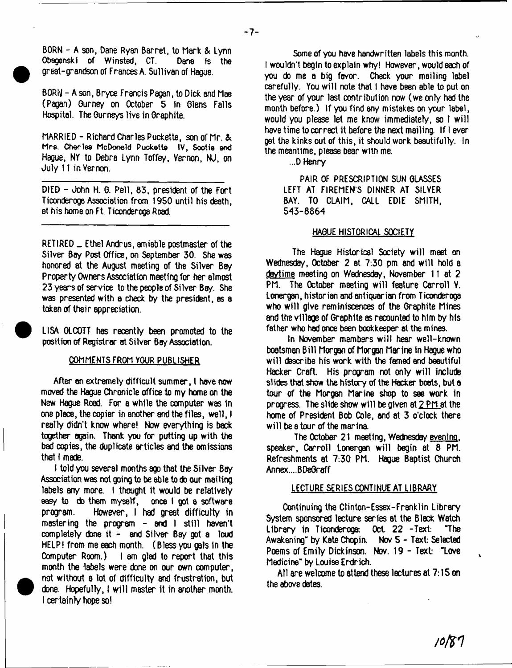BORN - A son, Dane Ryan Barret, to Mark *&.* Lynn Obegenski of Winsted, CT. great-grandson of Frances A. Sullivan of Hague.

BORN - A son, Bryce Francis Pagan, to Dick and Mae (Pagan) Gurney on October 5 in Glens Falls Hospital. The Gurneys live in Graphite.

MARRIED - Richard Charles Puckette, son of Mr. & **M rs. Charles McDonald Puckette IV , Sootie end** Hague, NY to Debra Lynn Toffey, Vernon, NJ, on July 11 in Vernon.

DIED - John H. G. Pell, 83, president of the Fort Ticonderoga Association from 1950 until his death, at his home on Ft. Ticonderoga Road

RETIRED \_ Ethel Andrus, amiable postmaster of the Silver Bay Post Office, on September 30. She was honored at the August meeting of the Silver Bay Property Owners Association meeting for her almost 23 years of service to the people of Silver Bey. She was presented with a check by the president, as a token of their appreciation.

LISA OLCOTT has recently been promoted to the position of Registrar at Silver Bay Association.

### COMMENTS FROM YOUR PUBLISHER

After an extremely difficult summer, I have now moved the Hague Chronicle office to my home on the New Hague Road. For a while the computer was 1n one place, the copier in another and the files, well, I really didn't know where! Now everything is back together again. Thank you for putting up with the bad copies, the duplicate articles and the omissions that I made.

I told you several months ago that the Silver Bay Association was not going to be able to do our mailing labels any more. I thought it would be relatively easy to do them myself, once I got a software program. However, I had great difficulty in mastering the program  $-$  and  $\overline{1}$  still haven't completely done it - and Silver Bay got a loud HELP! from me each month. (Blessyou gals In the Computer Room.) I am glad to report that this month the labels were done on our own computer, not without a lot of difficulty and frustration, but done. Hopefully, I w ill master it in another month. 1 certainty hope so!

Some of you have handwritten labels this month. I wouldn't begin to explain why! However, would each of you do me a big favor. Check your mailing label carefully. You will note that I have been able to put on the year of your last contribution now (we only had the month before.) If you find sny mistakes on your label, would you please let me know immediately, so I will have time to correct it before the next mailing. If I ever get the kinks out of this, it should work beautifully. In the meantime, please bear with me.

...D Henry

PAIR OF PRESCRIPTION SUN GLASSES LEFT AT FIREMEN'S DINNER AT SILVER BAY. TO CLAIM, CALL EDIE SMITH, 543-8864

### HAGUE HISTORICAL SOCIETY

The Hague Historical Society will meet on Wednesday, October 2 at 7:30 pm and will hold a daytime meeting on Wednesday, November 11 at 2 PM. The October meeting will feature Carroll V. Lonergan, historian and antiquarian from Ticonderoga who will give reminiscences of the Graphite Mines end the village of Graphite as recounted to him by his father who had once been bookkeeper at the mines.

In November members w ill hear well-known boatsman B ill Morgan of Morgan Marine in Hague who w ill describe his work with the famed and beautiful Hacker Craft. His program not only w ill include slides that show the history of the Hacker boots, but a tour of the Morgan Marine shop to see work in progress. The slide show w ill be given et 2 PM at the home of President Bob Cole, and at 3 o'clock there will be a tour of the marina.

The October 2 1 meeting, Wednesday evening, speaker, Carroll Lonergan will begin at 8 PM. Refreshments at 7:30 PM. Hague Baptist Church Annex....BDeGraff

### LECTURE SERIES CONTINUE AT LIBRARY

Continuing ths Clinlon-Essex-Franklin Library System sponsored lecture series at the Black Watch Library in Ticonderoga Oct 22 -Text: "The Awakening" by Kate Chopin. Nov 5 - Text: Selected Poems of Emily Dickinson. Nov. 19 - Text: "Love Medicine" by Louise Erdrich.

All are welcome to attend these lectures at 7:15 on the above dates.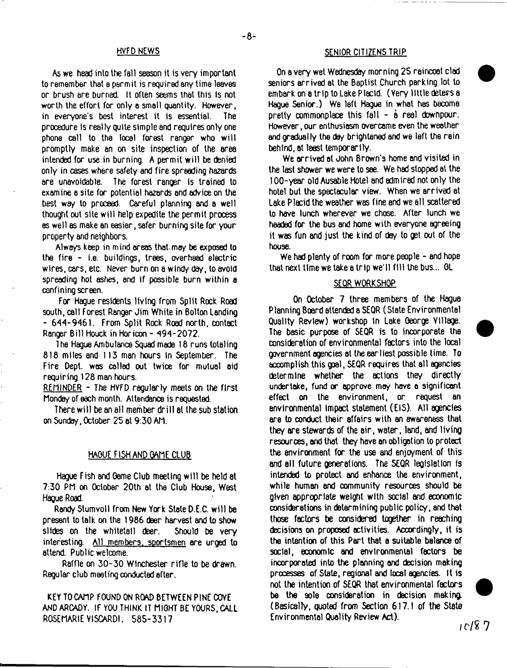As we head into the fall season it is very important lo remember that a permit is required any time leaves or brush ere burned. It often seems that this Is not worth the effort for only a small quantity. However, in everyone's best interest it is essential. The procedure is really quite simple and requires only one phone call to the local forest ranger who will promptly make an on site inspection of the area intended for use in burning. A permit will be denied only in cases where safety and fire spreading hazards are unavoidable. The forest ranger Is trained to examine e site for potential hazards end advice on the best w*ay* lo proceed. Careful planning and a well thought out site w ill help expedite the permit process as well as make an easier, safer burning site for your property and neighbors.

Always keep in mind areas thatmay be exposed to the fire - i.e. buildings, trees, overhead electric wires, cars, etc. Never burn on a windy day, lo avoid spreading hot ashes, and if possible burn within a confining screen.

For Hague residents living from Split Rock Road south, call Forest Ranger Jim While in Bolton Landing - 644-9461. From Split Rock Road north, contact Ranger Bill Houck in Horicon - 494-2072.

T he Hague Ambulance Squad made 18 runs totaling 818 miles and 113 man hours in September. The Fire Dept, was colled out twice for mutual aid requiring 128 man hours.

REMINDER - The HVFD regularly meets *on* the first Monday of each month. Attendance is requested.

There will be an all member drill at the sub station on Sunday, October 25 at 9:30 AM.

## HAOUE FISH AND GAME CLUB

Hague Fish and Game Club meeting w ill be held at 7:30 PM on October 20th at the Club House, West Hague Road.

Rondy Slumvoll from New York State D.E.C. w ill be present lo talk on the 1986 deer harvest and to show slides on the whitelail deer. Should be very interesting. All members, sportsmen are urged lo attend. Public welcome.

Raffle on 30-30 Winchester rifle to be drawn. Regular club meeting conducted after.

KEY TOCAMP FOUND ON ROAD BETWEEN PINE COVE AND ARGADY. IF YOU THINK IT MIGHT BE YOURS, CALL ROSEMARIE YISCARDI. 585-3317

# HVFD NEWS SENIOR CITIZENS TRIP

On a very wet Wednesday morning 25 raincoat clad seniors arrived at the Baptist Church parking lot to embark on a trip to Lake Placid. (Very little deters a Hague Senior.) We left Hague in what has become pretty commonplace this fall  $-$  a real downpour. However, our enthusiasm overcame even the weather and gradually the day brightened and we left the rein behind, at least temporarily.

We arrived at John Brown's home and visited in the last shower we were lo see. We had stopped at the 100-year old Ausable Hotel and admired not only the hotel but the spectacular view. When we arrived at Lake Placid the weather was fine and we all scattered to have lunch wherever we chose. After lunch we headed for the bus and home with everyone agreeing it was fun and just the kind of day lo get out of the house.

We had plenty of room for more people - end hope that next time we take a trip we'll fill the bus... OL

#### SEQR WORKSHOP

On October 7 three members of the Hague Planning Board attended a SEQR (State Environmental Quality Review) workshop In Lake George Ytllege. The basic purpose of SEQR is to incorporate the consideration of environmental factors into the local government agencies at the earliest possible lime. To accomplish this goal, SEQR requires that all agencies determine whether the actions they directly undertake, fund or approve may have a significant effect on the environment, or request an environmental impact statement (EIS). All agencies are to conduct their affairs with an awareness that they are stewards of the air, water, land, and living resources, and that they hove an obligotion to protect the environment for the use and enjoyment of this and ail future generations. The SEQR legislation is intended to protect and enhance the environment, while human end oommunity resources should be given appropriate weight with social and economic considerations in determining public policy, and that those factors be considered together in reaching decisions on proposed activities. Accordingly, it is the intention of this Part that a suitable balance of social, economic and environmental factors be incorporated into the planning and decision making processes of State, regional and local agencies. It is not the intention of SEQR that environmental factors. be the sole consideration in decision making. (Basically, quoted from Section 617.1 of the State Environmental Quality Review Act).

*ic /i* 7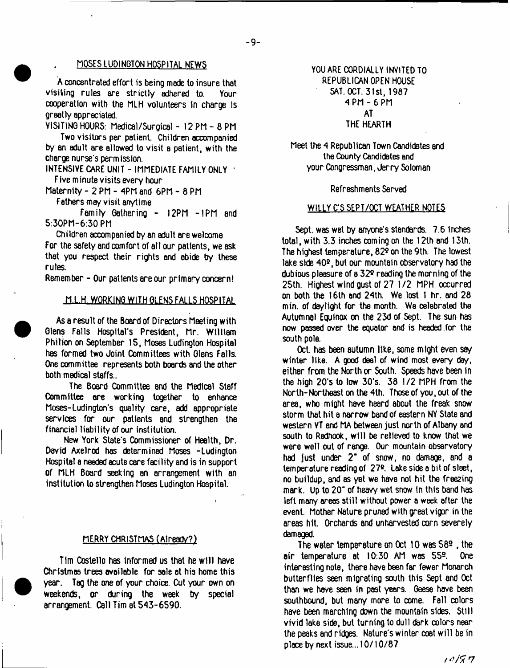# MOSES LUDINGTON HOSPITAL NEWS

A concentrated effort is being made to insure that visiting rules are strictly adhered to. Your cooperation with the MLH volunteers In charge is greatly appreciated.

VISITING HOURS: Medical/Surgical - 12 PM - 8 PM

Two visitors per patient. Children accompanied by an adult are allowed lo visit a patient, with the charge nurse's permission.

INTENSIVE CARE UNIT - IMMEDIATE FAMILY ONLY ' Five minute visits every hour

Maternity - 2 PM - 4PM end 6PM - 8 PM

Fathers may visit anytime

Family Gathering - 12PM -1PM and 5:30PM-6:30 PM

Children accompanied by an adult are welcome

For the safety and comfort of all our patients, we ask that you respect their rights and abide by these rules.

Remember - Our patients are our primary concern!

### M.L.H. WORKING WITH GLENS FALLS HOSPITAL

As a result of the Board of Directors Meeting with Glens Falls Hospital's President, Mr. William Philion on September 15, Moses Ludington Hospital has formed two Joint Committees with Glens Falls. One committee represents both boards and the other both medical staffs..

The Board Committee and the Medical Staff Committee ore working together to enhance Moses-Ludington's quality care, add appropriate services for our patients and strengthen the financial liability of our institution.

New York State's Commissioner of Health, Dr. David Axelrod has determined Moses -Ludington Hospital a needed acute care faci lity and is in support of MLH Board seeking an arrangement with an institution to strengthen Moses Ludington Hospital.

### MERRY CHRISTMAS (Already?)

Tim Costello has informed us that he w ill have Christmas trees available for sale at his home this year. Tag the one of your choice. Cut your own on weekends, or dur ing the week by special arrangement. Call Tim at 543-6590.

# YOU ARE CORDIALLY INVITED TO REPUBLICAN OPEN HOUSE SAT. OCT. 31st, 1967 4 PM- 6 PM AT

# THE HEARTH

Meet the 4 Republican Town Candidates and the County Candidates and your Congressman, Jerry Soloman

#### Refreshments Served

#### WILLY C'S SEPT/OCT WEATHER NOTES

Sept. was wet by anyone's standards. 7.6 Inches total, with 3.3 inches coming on the 12th and 13th. The highest temperature, 829 on the 9th. The lowest lake side 40<sup>9</sup>, but our mountain observatory had the dubious pleasure of a 329 reading the morning of the 25th. Highest wind gust of 27 1/2 MPH occurred on both the 16th and 24th. We lost 1 hr. and 28 min. of daylight for the month. We celebrated the Autumnal Equinox on the 23d of Sept. The sun has now passed over the equator and is headed .for the south pole.

Oct. has been autumn like, some might even say winter like. A good deal of wind most every day, either from the North or South. Speeds have been in the high 20's to low 30's. 38 1*12* MPH from the North- Northeast on the 4th. Those of you, out of the area, who might have heard about the freak snow storm that hit a narrow band of eastern NY State and western VT end MA between just north of Albany and south to Redhook, w ill be relieved to know that we were well out of range. Our mountain observatory had just under *2~* of snow, no damage, and a temperature reading of 27<sup>9</sup>. Lake side a bit of sleet, no buildup, and as yet we have not hit the free2ing mark. Up to 20" of heavy wet snow tn this band has left many areas still without power a week after the event. Mother Nature pruned with great vigor in the areas hit. Orchards and unharvested corn severely damaged.

The water temperature on Oct 10 was  $58<sup>9</sup>$ , the air temperature at 10:30 AM was 55®. One interesting note, there have been far fewer Monarch butterflies seen migrating south this Sept and Oct than we have seen in past years. Geese have been southbound, but many more to come. Fall colors have been marching down the mountain sides. Still vivid lake side, but turning to dull dark colors near the peaks and ridges. Nature's winter coat w ill be in place by next issue... 10/10/87